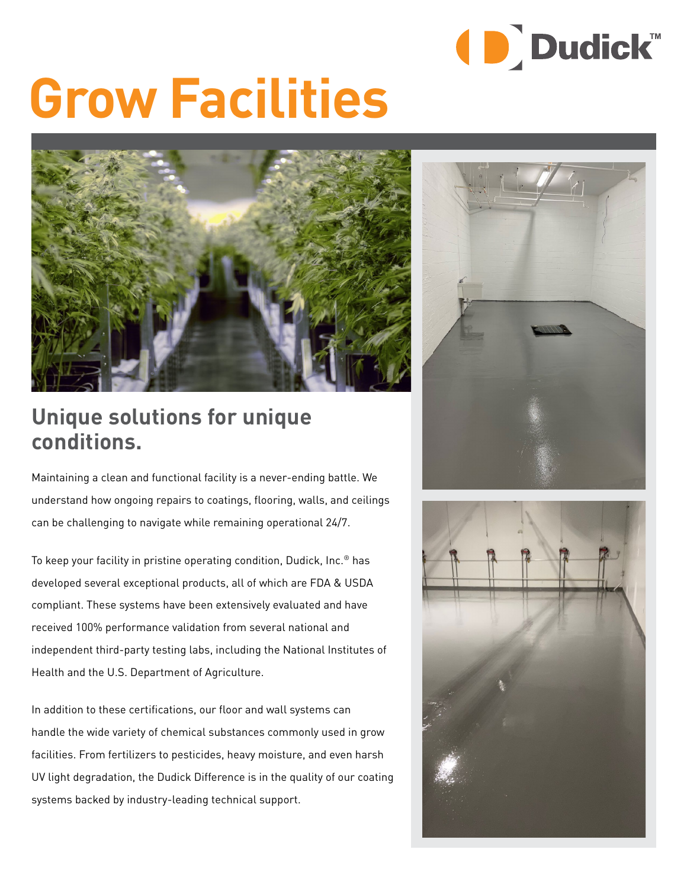

# **Grow Facilities**



### **Unique solutions for unique conditions.**

Maintaining a clean and functional facility is a never-ending battle. We understand how ongoing repairs to coatings, flooring, walls, and ceilings can be challenging to navigate while remaining operational 24/7.

To keep your facility in pristine operating condition, Dudick, Inc.® has developed several exceptional products, all of which are FDA & USDA compliant. These systems have been extensively evaluated and have received 100% performance validation from several national and independent third-party testing labs, including the National Institutes of Health and the U.S. Department of Agriculture.

In addition to these certifications, our floor and wall systems can handle the wide variety of chemical substances commonly used in grow facilities. From fertilizers to pesticides, heavy moisture, and even harsh UV light degradation, the Dudick Difference is in the quality of our coating systems backed by industry-leading technical support.